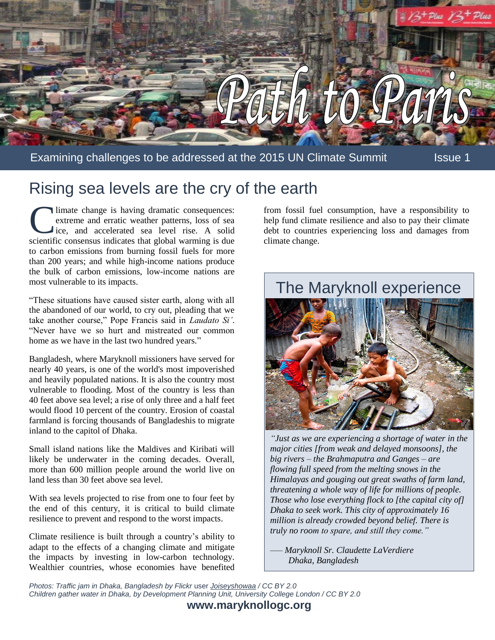

## Rising sea levels are the cry of the earth

limate change is having dramatic consequences: extreme and erratic weather patterns, loss of sea ice, and accelerated sea level rise. A solid scientific consensus indicates that global warming is due to carbon emissions from burning fossil fuels for more than 200 years; and while high-income nations produce the bulk of carbon emissions, low-income nations are most vulnerable to its impacts. Iimate change is having dramatic consequences: from fossil fuel consumption, have a responsibility to extreme and erratic weather patterns, loss of sea inep fund climate resilience and also to pay their climate ise, and ac

"These situations have caused sister earth, along with all the abandoned of our world, to cry out, pleading that we take another course," Pope Francis said in *Laudato Si'*. "Never have we so hurt and mistreated our common home as we have in the last two hundred years."

Bangladesh, where Maryknoll missioners have served for nearly 40 years, is one of the world's most impoverished and heavily populated nations. It is also the country most vulnerable to flooding. Most of the country is less than 40 feet above sea level; a rise of only three and a half feet would flood 10 percent of the country. Erosion of coastal farmland is forcing thousands of Bangladeshis to migrate inland to the capitol of Dhaka.

Small island nations like the Maldives and Kiribati will likely be underwater in the coming decades. Overall, more than 600 million people around the world live on land less than 30 feet above sea level.

With sea levels projected to rise from one to four feet by the end of this century, it is critical to build climate resilience to prevent and respond to the worst impacts.

Climate resilience is built through a country's ability to adapt to the effects of a changing climate and mitigate the impacts by investing in low-carbon technology. Wealthier countries, whose economies have benefited help fund climate resilience and also to pay their climate climate change.



*"Just as we are experiencing a shortage of water in the major cities [from weak and delayed monsoons], the big rivers – the Brahmaputra and Ganges – are flowing full speed from the melting snows in the Himalayas and gouging out great swaths of farm land, threatening a whole way of life for millions of people. Those who lose everything flock to [the capital city of] Dhaka to seek work. This city of approximately 16 million is already crowded beyond belief. There is truly no room to spare, and still they come."*

*–— Maryknoll Sr. Claudette LaVerdiere Dhaka, Bangladesh*

*Photos: Traffic jam in Dhaka, Bangladesh by Flickr* user *Joiseyshowaa / CC BY 2.0 Children gather water in Dhaka, by Development Planning Unit, University College London / CC BY 2.0*

**www.maryknollogc.org**